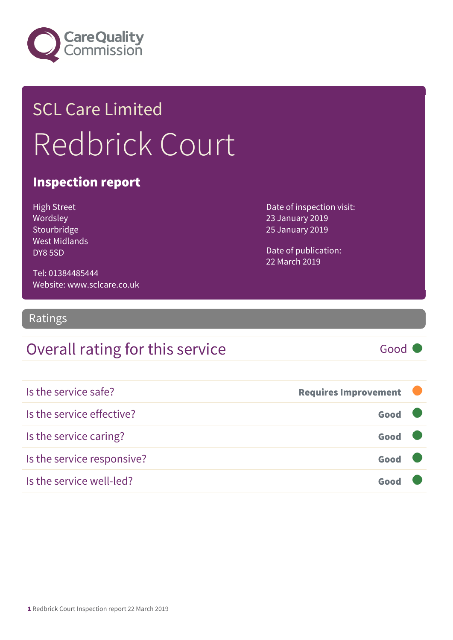

## SCL Care Limited Redbrick Court

#### Inspection report

High Street Wordsley Stourbridge West Midlands DY8 5SD

Date of inspection visit: 23 January 2019 25 January 2019

Date of publication: 22 March 2019

Tel: 01384485444 Website: www.sclcare.co.uk

Ratings

#### Overall rating for this service Fig. 6000

| Is the service safe?       | <b>Requires Improvement</b> |  |
|----------------------------|-----------------------------|--|
| Is the service effective?  | Good                        |  |
| Is the service caring?     | Good                        |  |
| Is the service responsive? | Good                        |  |
| Is the service well-led?   |                             |  |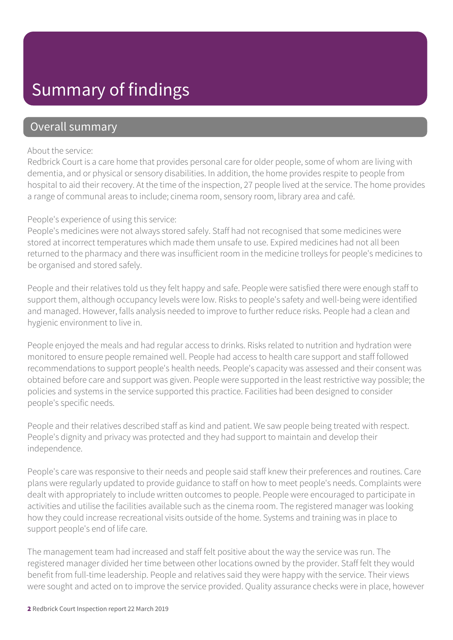### Summary of findings

#### Overall summary

#### About the service:

Redbrick Court is a care home that provides personal care for older people, some of whom are living with dementia, and or physical or sensory disabilities. In addition, the home provides respite to people from hospital to aid their recovery. At the time of the inspection, 27 people lived at the service. The home provides a range of communal areas to include; cinema room, sensory room, library area and café.

#### People's experience of using this service:

People's medicines were not always stored safely. Staff had not recognised that some medicines were stored at incorrect temperatures which made them unsafe to use. Expired medicines had not all been returned to the pharmacy and there was insufficient room in the medicine trolleys for people's medicines to be organised and stored safely.

People and their relatives told us they felt happy and safe. People were satisfied there were enough staff to support them, although occupancy levels were low. Risks to people's safety and well-being were identified and managed. However, falls analysis needed to improve to further reduce risks. People had a clean and hygienic environment to live in.

People enjoyed the meals and had regular access to drinks. Risks related to nutrition and hydration were monitored to ensure people remained well. People had access to health care support and staff followed recommendations to support people's health needs. People's capacity was assessed and their consent was obtained before care and support was given. People were supported in the least restrictive way possible; the policies and systems in the service supported this practice. Facilities had been designed to consider people's specific needs.

People and their relatives described staff as kind and patient. We saw people being treated with respect. People's dignity and privacy was protected and they had support to maintain and develop their independence.

People's care was responsive to their needs and people said staff knew their preferences and routines. Care plans were regularly updated to provide guidance to staff on how to meet people's needs. Complaints were dealt with appropriately to include written outcomes to people. People were encouraged to participate in activities and utilise the facilities available such as the cinema room. The registered manager was looking how they could increase recreational visits outside of the home. Systems and training was in place to support people's end of life care.

The management team had increased and staff felt positive about the way the service was run. The registered manager divided her time between other locations owned by the provider. Staff felt they would benefit from full-time leadership. People and relatives said they were happy with the service. Their views were sought and acted on to improve the service provided. Quality assurance checks were in place, however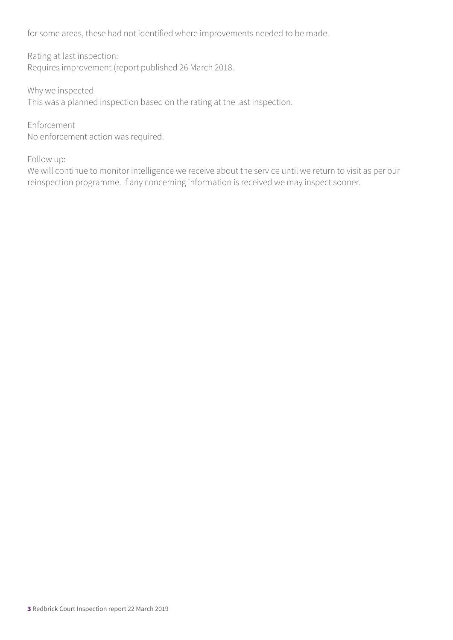for some areas, these had not identified where improvements needed to be made.

Rating at last inspection: Requires improvement (report published 26 March 2018.

Why we inspected This was a planned inspection based on the rating at the last inspection.

Enforcement No enforcement action was required.

Follow up:

We will continue to monitor intelligence we receive about the service until we return to visit as per our reinspection programme. If any concerning information is received we may inspect sooner.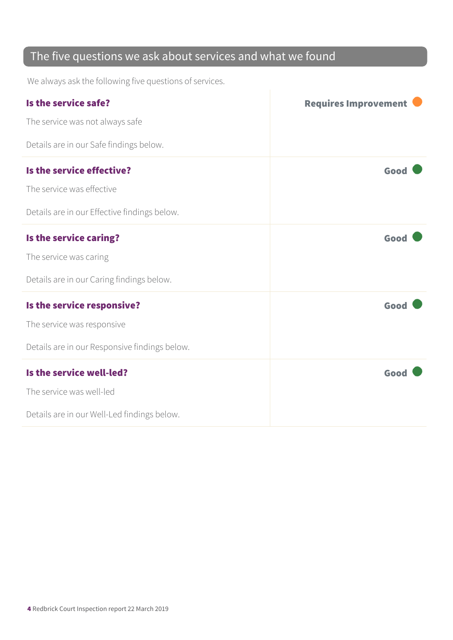### The five questions we ask about services and what we found

We always ask the following five questions of services.

| Is the service safe?                          | <b>Requires Improvement</b> |
|-----------------------------------------------|-----------------------------|
| The service was not always safe               |                             |
| Details are in our Safe findings below.       |                             |
| Is the service effective?                     | Good                        |
| The service was effective                     |                             |
| Details are in our Effective findings below.  |                             |
| Is the service caring?                        | Good                        |
| The service was caring                        |                             |
| Details are in our Caring findings below.     |                             |
| Is the service responsive?                    | Good                        |
| The service was responsive                    |                             |
| Details are in our Responsive findings below. |                             |
| Is the service well-led?                      | Good                        |
| The service was well-led                      |                             |
| Details are in our Well-Led findings below.   |                             |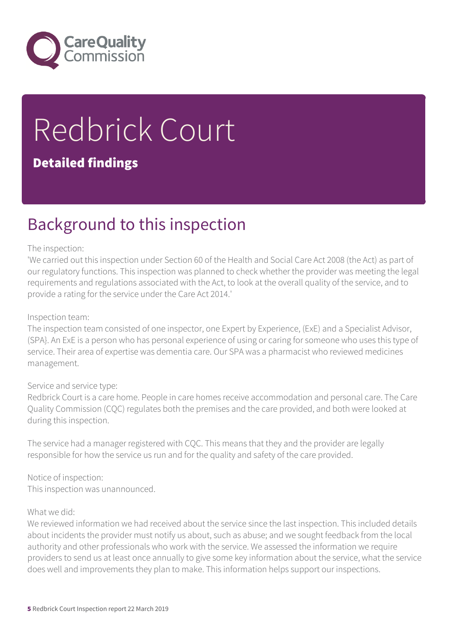

# Redbrick Court

#### Detailed findings

### Background to this inspection

#### The inspection:

'We carried out this inspection under Section 60 of the Health and Social Care Act 2008 (the Act) as part of our regulatory functions. This inspection was planned to check whether the provider was meeting the legal requirements and regulations associated with the Act, to look at the overall quality of the service, and to provide a rating for the service under the Care Act 2014.'

#### Inspection team:

The inspection team consisted of one inspector, one Expert by Experience, (ExE) and a Specialist Advisor, (SPA}. An ExE is a person who has personal experience of using or caring for someone who uses this type of service. Their area of expertise was dementia care. Our SPA was a pharmacist who reviewed medicines management.

#### Service and service type:

Redbrick Court is a care home. People in care homes receive accommodation and personal care. The Care Quality Commission (CQC) regulates both the premises and the care provided, and both were looked at during this inspection.

The service had a manager registered with CQC. This means that they and the provider are legally responsible for how the service us run and for the quality and safety of the care provided.

Notice of inspection: This inspection was unannounced.

#### What we did:

We reviewed information we had received about the service since the last inspection. This included details about incidents the provider must notify us about, such as abuse; and we sought feedback from the local authority and other professionals who work with the service. We assessed the information we require providers to send us at least once annually to give some key information about the service, what the service does well and improvements they plan to make. This information helps support our inspections.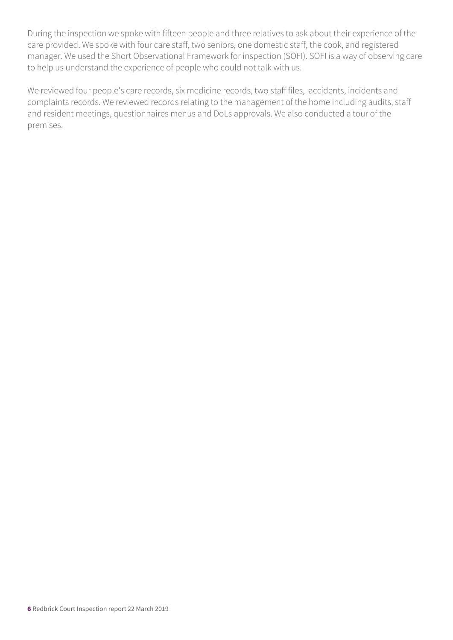During the inspection we spoke with fifteen people and three relatives to ask about their experience of the care provided. We spoke with four care staff, two seniors, one domestic staff, the cook, and registered manager. We used the Short Observational Framework for inspection (SOFI). SOFI is a way of observing care to help us understand the experience of people who could not talk with us.

We reviewed four people's care records, six medicine records, two staff files, accidents, incidents and complaints records. We reviewed records relating to the management of the home including audits, staff and resident meetings, questionnaires menus and DoLs approvals. We also conducted a tour of the premises.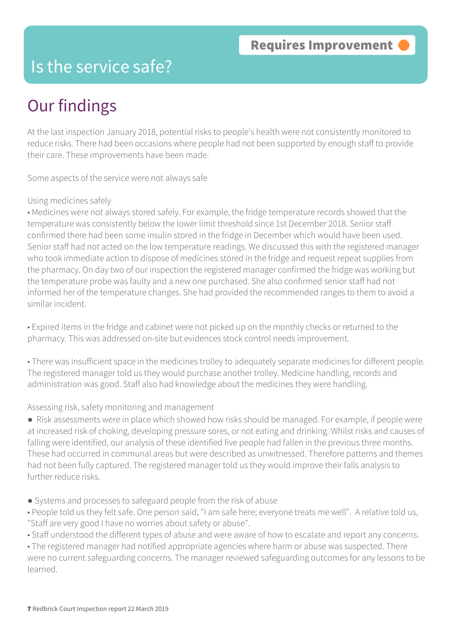### Is the service safe?

### Our findings

At the last inspection January 2018, potential risks to people's health were not consistently monitored to reduce risks. There had been occasions where people had not been supported by enough staff to provide their care. These improvements have been made.

Some aspects of the service were not always safe

#### Using medicines safely

• Medicines were not always stored safely. For example, the fridge temperature records showed that the temperature was consistently below the lower limit threshold since 1st December 2018. Senior staff confirmed there had been some insulin stored in the fridge in December which would have been used. Senior staff had not acted on the low temperature readings. We discussed this with the registered manager who took immediate action to dispose of medicines stored in the fridge and request repeat supplies from the pharmacy. On day two of our inspection the registered manager confirmed the fridge was working but the temperature probe was faulty and a new one purchased. She also confirmed senior staff had not informed her of the temperature changes. She had provided the recommended ranges to them to avoid a similar incident.

• Expired items in the fridge and cabinet were not picked up on the monthly checks or returned to the pharmacy. This was addressed on-site but evidences stock control needs improvement.

• There was insufficient space in the medicines trolley to adequately separate medicines for different people. The registered manager told us they would purchase another trolley. Medicine handling, records and administration was good. Staff also had knowledge about the medicines they were handling.

#### Assessing risk, safety monitoring and management

● Risk assessments were in place which showed how risks should be managed. For example, if people were at increased risk of choking, developing pressure sores, or not eating and drinking. Whilst risks and causes of falling were identified, our analysis of these identified five people had fallen in the previous three months. These had occurred in communal areas but were described as unwitnessed. Therefore patterns and themes had not been fully captured. The registered manager told us they would improve their falls analysis to further reduce risks.

- Systems and processes to safeguard people from the risk of abuse
- People told us they felt safe. One person said, "I am safe here; everyone treats me well". A relative told us, "Staff are very good I have no worries about safety or abuse".
- Staff understood the different types of abuse and were aware of how to escalate and report any concerns.

• The registered manager had notified appropriate agencies where harm or abuse was suspected. There were no current safeguarding concerns. The manager reviewed safeguarding outcomes for any lessons to be learned.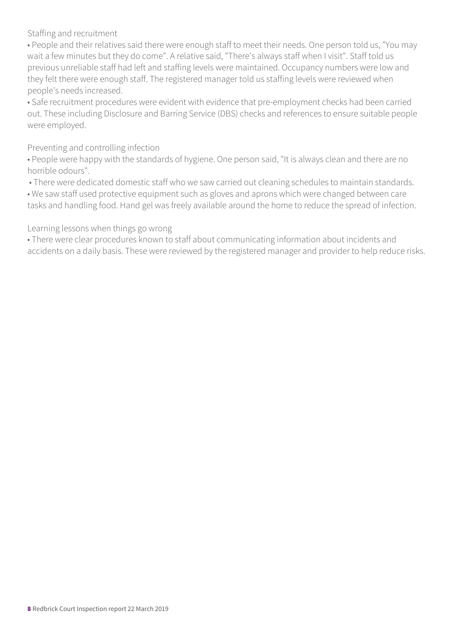Staffing and recruitment

• People and their relatives said there were enough staff to meet their needs. One person told us, "You may wait a few minutes but they do come". A relative said, "There's always staff when I visit". Staff told us previous unreliable staff had left and staffing levels were maintained. Occupancy numbers were low and they felt there were enough staff. The registered manager told us staffing levels were reviewed when people's needs increased.

• Safe recruitment procedures were evident with evidence that pre-employment checks had been carried out. These including Disclosure and Barring Service (DBS) checks and references to ensure suitable people were employed.

Preventing and controlling infection

• People were happy with the standards of hygiene. One person said, "It is always clean and there are no horrible odours".

• There were dedicated domestic staff who we saw carried out cleaning schedules to maintain standards.

• We saw staff used protective equipment such as gloves and aprons which were changed between care

tasks and handling food. Hand gel was freely available around the home to reduce the spread of infection.

Learning lessons when things go wrong

• There were clear procedures known to staff about communicating information about incidents and accidents on a daily basis. These were reviewed by the registered manager and provider to help reduce risks.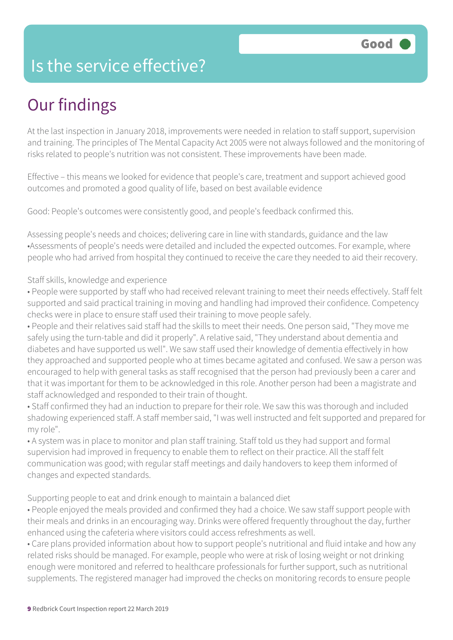### Is the service effective?

### Our findings

At the last inspection in January 2018, improvements were needed in relation to staff support, supervision and training. The principles of The Mental Capacity Act 2005 were not always followed and the monitoring of risks related to people's nutrition was not consistent. These improvements have been made.

Effective – this means we looked for evidence that people's care, treatment and support achieved good outcomes and promoted a good quality of life, based on best available evidence

Good: People's outcomes were consistently good, and people's feedback confirmed this.

Assessing people's needs and choices; delivering care in line with standards, guidance and the law •Assessments of people's needs were detailed and included the expected outcomes. For example, where people who had arrived from hospital they continued to receive the care they needed to aid their recovery.

#### Staff skills, knowledge and experience

• People were supported by staff who had received relevant training to meet their needs effectively. Staff felt supported and said practical training in moving and handling had improved their confidence. Competency checks were in place to ensure staff used their training to move people safely.

• People and their relatives said staff had the skills to meet their needs. One person said, "They move me safely using the turn-table and did it properly". A relative said, "They understand about dementia and diabetes and have supported us well". We saw staff used their knowledge of dementia effectively in how they approached and supported people who at times became agitated and confused. We saw a person was encouraged to help with general tasks as staff recognised that the person had previously been a carer and that it was important for them to be acknowledged in this role. Another person had been a magistrate and staff acknowledged and responded to their train of thought.

• Staff confirmed they had an induction to prepare for their role. We saw this was thorough and included shadowing experienced staff. A staff member said, "I was well instructed and felt supported and prepared for my role".

• A system was in place to monitor and plan staff training. Staff told us they had support and formal supervision had improved in frequency to enable them to reflect on their practice. All the staff felt communication was good; with regular staff meetings and daily handovers to keep them informed of changes and expected standards.

Supporting people to eat and drink enough to maintain a balanced diet

• People enjoyed the meals provided and confirmed they had a choice. We saw staff support people with their meals and drinks in an encouraging way. Drinks were offered frequently throughout the day, further enhanced using the cafeteria where visitors could access refreshments as well.

• Care plans provided information about how to support people's nutritional and fluid intake and how any related risks should be managed. For example, people who were at risk of losing weight or not drinking enough were monitored and referred to healthcare professionals for further support, such as nutritional supplements. The registered manager had improved the checks on monitoring records to ensure people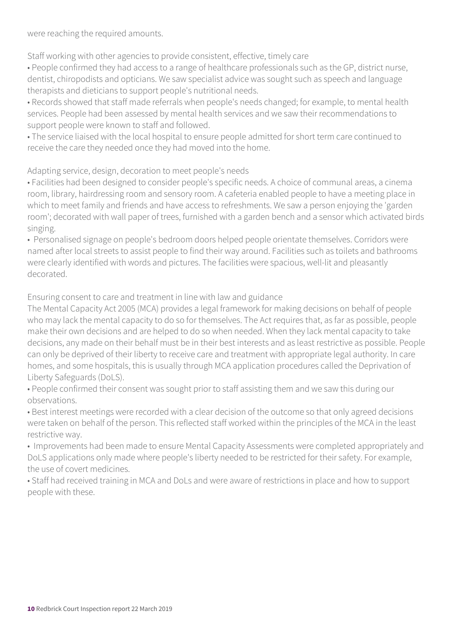were reaching the required amounts.

Staff working with other agencies to provide consistent, effective, timely care

• People confirmed they had access to a range of healthcare professionals such as the GP, district nurse, dentist, chiropodists and opticians. We saw specialist advice was sought such as speech and language therapists and dieticians to support people's nutritional needs.

• Records showed that staff made referrals when people's needs changed; for example, to mental health services. People had been assessed by mental health services and we saw their recommendations to support people were known to staff and followed.

• The service liaised with the local hospital to ensure people admitted for short term care continued to receive the care they needed once they had moved into the home.

Adapting service, design, decoration to meet people's needs

• Facilities had been designed to consider people's specific needs. A choice of communal areas, a cinema room, library, hairdressing room and sensory room. A cafeteria enabled people to have a meeting place in which to meet family and friends and have access to refreshments. We saw a person enjoying the 'garden room'; decorated with wall paper of trees, furnished with a garden bench and a sensor which activated birds singing.

• Personalised signage on people's bedroom doors helped people orientate themselves. Corridors were named after local streets to assist people to find their way around. Facilities such as toilets and bathrooms were clearly identified with words and pictures. The facilities were spacious, well-lit and pleasantly decorated.

Ensuring consent to care and treatment in line with law and guidance

The Mental Capacity Act 2005 (MCA) provides a legal framework for making decisions on behalf of people who may lack the mental capacity to do so for themselves. The Act requires that, as far as possible, people make their own decisions and are helped to do so when needed. When they lack mental capacity to take decisions, any made on their behalf must be in their best interests and as least restrictive as possible. People can only be deprived of their liberty to receive care and treatment with appropriate legal authority. In care homes, and some hospitals, this is usually through MCA application procedures called the Deprivation of Liberty Safeguards (DoLS).

• People confirmed their consent was sought prior to staff assisting them and we saw this during our observations.

• Best interest meetings were recorded with a clear decision of the outcome so that only agreed decisions were taken on behalf of the person. This reflected staff worked within the principles of the MCA in the least restrictive way.

• Improvements had been made to ensure Mental Capacity Assessments were completed appropriately and DoLS applications only made where people's liberty needed to be restricted for their safety. For example, the use of covert medicines.

• Staff had received training in MCA and DoLs and were aware of restrictions in place and how to support people with these.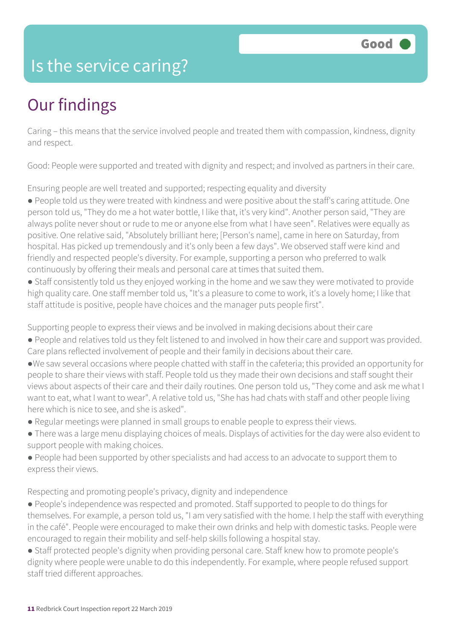### Is the service caring?

### Our findings

Caring – this means that the service involved people and treated them with compassion, kindness, dignity and respect.

Good: People were supported and treated with dignity and respect; and involved as partners in their care.

Ensuring people are well treated and supported; respecting equality and diversity

● People told us they were treated with kindness and were positive about the staff's caring attitude. One person told us, "They do me a hot water bottle, I like that, it's very kind". Another person said, "They are always polite never shout or rude to me or anyone else from what I have seen". Relatives were equally as positive. One relative said, "Absolutely brilliant here; [Person's name], came in here on Saturday, from hospital. Has picked up tremendously and it's only been a few days". We observed staff were kind and friendly and respected people's diversity. For example, supporting a person who preferred to walk continuously by offering their meals and personal care at times that suited them.

● Staff consistently told us they enjoyed working in the home and we saw they were motivated to provide high quality care. One staff member told us, "It's a pleasure to come to work, it's a lovely home; I like that staff attitude is positive, people have choices and the manager puts people first".

Supporting people to express their views and be involved in making decisions about their care

- People and relatives told us they felt listened to and involved in how their care and support was provided. Care plans reflected involvement of people and their family in decisions about their care.
- ●We saw several occasions where people chatted with staff in the cafeteria; this provided an opportunity for people to share their views with staff. People told us they made their own decisions and staff sought their views about aspects of their care and their daily routines. One person told us, "They come and ask me what I want to eat, what I want to wear". A relative told us, "She has had chats with staff and other people living here which is nice to see, and she is asked".
- Regular meetings were planned in small groups to enable people to express their views.
- There was a large menu displaying choices of meals. Displays of activities for the day were also evident to support people with making choices.
- People had been supported by other specialists and had access to an advocate to support them to express their views.

Respecting and promoting people's privacy, dignity and independence

- People's independence was respected and promoted. Staff supported to people to do things for themselves. For example, a person told us, "I am very satisfied with the home. I help the staff with everything in the café". People were encouraged to make their own drinks and help with domestic tasks. People were encouraged to regain their mobility and self-help skills following a hospital stay.
- Staff protected people's dignity when providing personal care. Staff knew how to promote people's dignity where people were unable to do this independently. For example, where people refused support staff tried different approaches.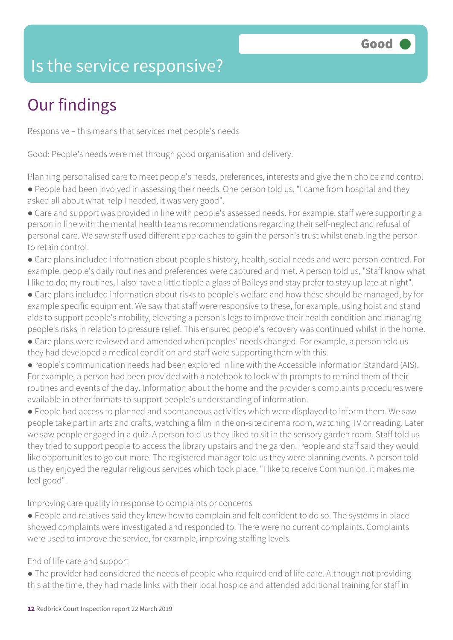### Is the service responsive?

### Our findings

Responsive – this means that services met people's needs

Good: People's needs were met through good organisation and delivery.

Planning personalised care to meet people's needs, preferences, interests and give them choice and control ● People had been involved in assessing their needs. One person told us, "I came from hospital and they asked all about what help I needed, it was very good".

● Care and support was provided in line with people's assessed needs. For example, staff were supporting a person in line with the mental health teams recommendations regarding their self-neglect and refusal of personal care. We saw staff used different approaches to gain the person's trust whilst enabling the person to retain control.

● Care plans included information about people's history, health, social needs and were person-centred. For example, people's daily routines and preferences were captured and met. A person told us, "Staff know what I like to do; my routines, I also have a little tipple a glass of Baileys and stay prefer to stay up late at night".

- Care plans included information about risks to people's welfare and how these should be managed, by for example specific equipment. We saw that staff were responsive to these, for example, using hoist and stand aids to support people's mobility, elevating a person's legs to improve their health condition and managing people's risks in relation to pressure relief. This ensured people's recovery was continued whilst in the home.
- Care plans were reviewed and amended when peoples' needs changed. For example, a person told us they had developed a medical condition and staff were supporting them with this.

●People's communication needs had been explored in line with the Accessible Information Standard (AIS). For example, a person had been provided with a notebook to look with prompts to remind them of their routines and events of the day. Information about the home and the provider's complaints procedures were available in other formats to support people's understanding of information.

● People had access to planned and spontaneous activities which were displayed to inform them. We saw people take part in arts and crafts, watching a film in the on-site cinema room, watching TV or reading. Later we saw people engaged in a quiz. A person told us they liked to sit in the sensory garden room. Staff told us they tried to support people to access the library upstairs and the garden. People and staff said they would like opportunities to go out more. The registered manager told us they were planning events. A person told us they enjoyed the regular religious services which took place. "I like to receive Communion, it makes me feel good".

Improving care quality in response to complaints or concerns

● People and relatives said they knew how to complain and felt confident to do so. The systems in place showed complaints were investigated and responded to. There were no current complaints. Complaints were used to improve the service, for example, improving staffing levels.

#### End of life care and support

● The provider had considered the needs of people who required end of life care. Although not providing this at the time, they had made links with their local hospice and attended additional training for staff in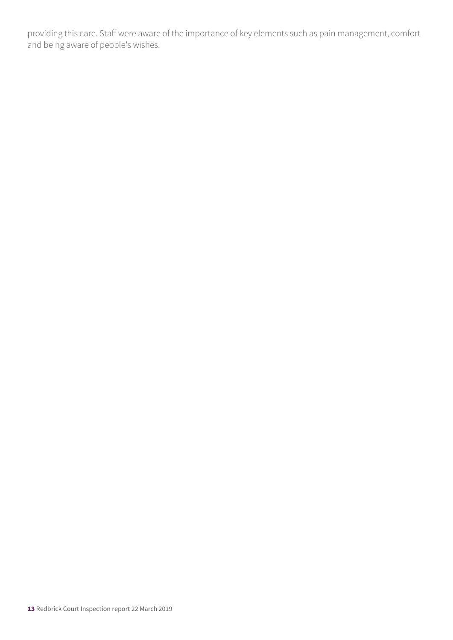providing this care. Staff were aware of the importance of key elements such as pain management, comfort and being aware of people's wishes.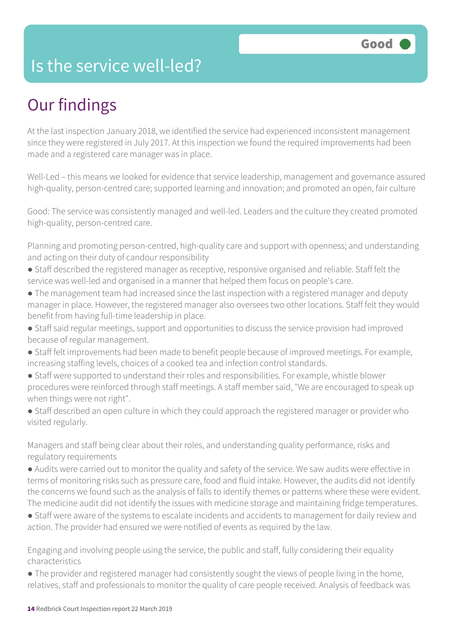### Is the service well-led?

### Our findings

At the last inspection January 2018, we identified the service had experienced inconsistent management since they were registered in July 2017. At this inspection we found the required improvements had been made and a registered care manager was in place.

Well-Led – this means we looked for evidence that service leadership, management and governance assured high-quality, person-centred care; supported learning and innovation; and promoted an open, fair culture

Good: The service was consistently managed and well-led. Leaders and the culture they created promoted high-quality, person-centred care.

Planning and promoting person-centred, high-quality care and support with openness; and understanding and acting on their duty of candour responsibility

- Staff described the registered manager as receptive, responsive organised and reliable. Staff felt the service was well-led and organised in a manner that helped them focus on people's care.
- The management team had increased since the last inspection with a registered manager and deputy manager in place. However, the registered manager also oversees two other locations. Staff felt they would benefit from having full-time leadership in place.
- Staff said regular meetings, support and opportunities to discuss the service provision had improved because of regular management.
- Staff felt improvements had been made to benefit people because of improved meetings. For example, increasing staffing levels, choices of a cooked tea and infection control standards.
- Staff were supported to understand their roles and responsibilities. For example, whistle blower procedures were reinforced through staff meetings. A staff member said, "We are encouraged to speak up when things were not right".
- Staff described an open culture in which they could approach the registered manager or provider who visited regularly.

Managers and staff being clear about their roles, and understanding quality performance, risks and regulatory requirements

- Audits were carried out to monitor the quality and safety of the service. We saw audits were effective in terms of monitoring risks such as pressure care, food and fluid intake. However, the audits did not identify the concerns we found such as the analysis of falls to identify themes or patterns where these were evident. The medicine audit did not identify the issues with medicine storage and maintaining fridge temperatures.
- Staff were aware of the systems to escalate incidents and accidents to management for daily review and action. The provider had ensured we were notified of events as required by the law.

Engaging and involving people using the service, the public and staff, fully considering their equality characteristics

● The provider and registered manager had consistently sought the views of people living in the home, relatives, staff and professionals to monitor the quality of care people received. Analysis of feedback was